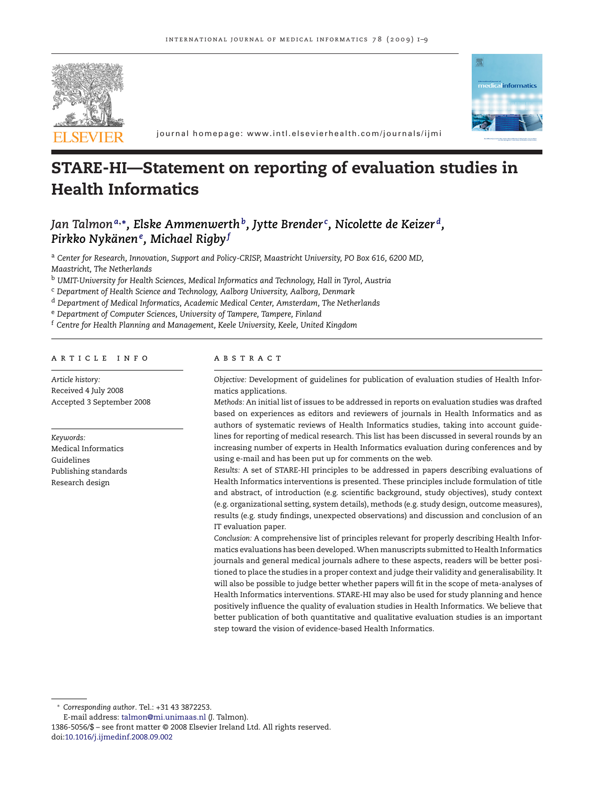



journal homepage: www.intl.elsevierhealth.com/journals/ijmi

# **STARE-HI—Statement on reporting of evaluation studies in Health Informatics**

# *Jan Talmon<sup>a</sup>***,∗***, Elske Ammenwerthb, Jytte Brender <sup>c</sup> , Nicolette de Keizer d, Pirkko Nykänen<sup>e</sup> , Michael Rigby<sup>f</sup>*

<sup>a</sup> *Center for Research, Innovation, Support and Policy-CRISP, Maastricht University, PO Box 616, 6200 MD, Maastricht, The Netherlands*

<sup>b</sup> *UMIT-University for Health Sciences, Medical Informatics and Technology, Hall in Tyrol, Austria*

<sup>c</sup> *Department of Health Science and Technology, Aalborg University, Aalborg, Denmark*

<sup>d</sup> *Department of Medical Informatics, Academic Medical Center, Amsterdam, The Netherlands*

<sup>e</sup> *Department of Computer Sciences, University of Tampere, Tampere, Finland*

<sup>f</sup> *Centre for Health Planning and Management, Keele University, Keele, United Kingdom*

#### article info

*Article history:* Received 4 July 2008 Accepted 3 September 2008

*Keywords:* Medical Informatics Guidelines Publishing standards Research design

#### **ABSTRACT**

*Objective:* Development of guidelines for publication of evaluation studies of Health Informatics applications.

*Methods:* An initial list of issues to be addressed in reports on evaluation studies was drafted based on experiences as editors and reviewers of journals in Health Informatics and as authors of systematic reviews of Health Informatics studies, taking into account guidelines for reporting of medical research. This list has been discussed in several rounds by an increasing number of experts in Health Informatics evaluation during conferences and by using e-mail and has been put up for comments on the web.

*Results:* A set of STARE-HI principles to be addressed in papers describing evaluations of Health Informatics interventions is presented. These principles include formulation of title and abstract, of introduction (e.g. scientific background, study objectives), study context (e.g. organizational setting, system details), methods (e.g. study design, outcome measures), results (e.g. study findings, unexpected observations) and discussion and conclusion of an IT evaluation paper.

*Conclusion:* A comprehensive list of principles relevant for properly describing Health Informatics evaluations has been developed. When manuscripts submitted to Health Informatics journals and general medical journals adhere to these aspects, readers will be better positioned to place the studies in a proper context and judge their validity and generalisability. It will also be possible to judge better whether papers will fit in the scope of meta-analyses of Health Informatics interventions. STARE-HI may also be used for study planning and hence positively influence the quality of evaluation studies in Health Informatics. We believe that better publication of both quantitative and qualitative evaluation studies is an important step toward the vision of evidence-based Health Informatics.

<sup>∗</sup> *Corresponding author*. Tel.: +31 43 3872253.

E-mail address: [talmon@mi.unimaas.nl](mailto:talmon@mi.unimaas.nl) (J. Talmon).

<sup>1386-5056/\$ –</sup> see front matter © 2008 Elsevier Ireland Ltd. All rights reserved. doi:[10.1016/j.ijmedinf.2008.09.002](dx.doi.org/10.1016/j.ijmedinf.2008.09.002)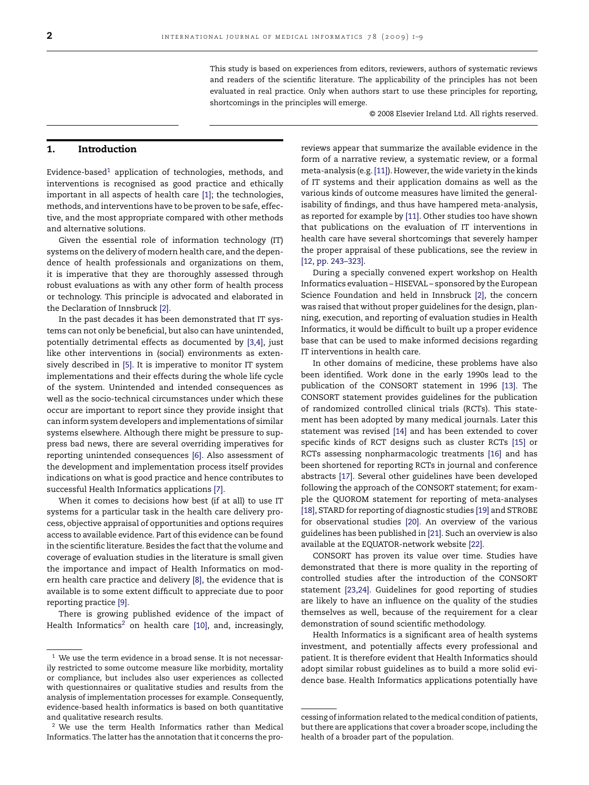This study is based on experiences from editors, reviewers, authors of systematic reviews and readers of the scientific literature. The applicability of the principles has not been evaluated in real practice. Only when authors start to use these principles for reporting, shortcomings in the principles will emerge.

© 2008 Elsevier Ireland Ltd. All rights reserved.

# **1. Introduction**

Evidence-based1 application of technologies, methods, and interventions is recognised as good practice and ethically important in all aspects of health care [\[1\]; t](#page-7-0)he technologies, methods, and interventions have to be proven to be safe, effective, and the most appropriate compared with other methods and alternative solutions.

Given the essential role of information technology (IT) systems on the delivery of modern health care, and the dependence of health professionals and organizations on them, it is imperative that they are thoroughly assessed through robust evaluations as with any other form of health process or technology. This principle is advocated and elaborated in the Declaration of Innsbruck [\[2\].](#page-7-0)

In the past decades it has been demonstrated that IT systems can not only be beneficial, but also can have unintended, potentially detrimental effects as documented by [\[3,4\],](#page-7-0) just like other interventions in (social) environments as extensively described in [\[5\].](#page-7-0) It is imperative to monitor IT system implementations and their effects during the whole life cycle of the system. Unintended and intended consequences as well as the socio-technical circumstances under which these occur are important to report since they provide insight that can inform system developers and implementations of similar systems elsewhere. Although there might be pressure to suppress bad news, there are several overriding imperatives for reporting unintended consequences [\[6\].](#page-7-0) Also assessment of the development and implementation process itself provides indications on what is good practice and hence contributes to successful Health Informatics applications [\[7\].](#page-7-0)

When it comes to decisions how best (if at all) to use IT systems for a particular task in the health care delivery process, objective appraisal of opportunities and options requires access to available evidence. Part of this evidence can be found in the scientific literature. Besides the fact that the volume and coverage of evaluation studies in the literature is small given the importance and impact of Health Informatics on modern health care practice and delivery [\[8\], t](#page-7-0)he evidence that is available is to some extent difficult to appreciate due to poor reporting practice [\[9\].](#page-7-0)

There is growing published evidence of the impact of Health Informatics<sup>2</sup> on health care  $[10]$ , and, increasingly, reviews appear that summarize the available evidence in the form of a narrative review, a systematic review, or a formal meta-analysis (e.g. [\[11\]\).](#page-7-0) However, the wide variety in the kinds of IT systems and their application domains as well as the various kinds of outcome measures have limited the generalisability of findings, and thus have hampered meta-analysis, as reported for example by [\[11\]. O](#page-7-0)ther studies too have shown that publications on the evaluation of IT interventions in health care have several shortcomings that severely hamper the proper appraisal of these publications, see the review in [\[12, pp. 243–323\].](#page-7-0)

During a specially convened expert workshop on Health Informatics evaluation – HISEVAL – sponsored by the European Science Foundation and held in Innsbruck [\[2\],](#page-7-0) the concern was raised that without proper guidelines for the design, planning, execution, and reporting of evaluation studies in Health Informatics, it would be difficult to built up a proper evidence base that can be used to make informed decisions regarding IT interventions in health care.

In other domains of medicine, these problems have also been identified. Work done in the early 1990s lead to the publication of the CONSORT statement in 1996 [\[13\].](#page-7-0) The CONSORT statement provides guidelines for the publication of randomized controlled clinical trials (RCTs). This statement has been adopted by many medical journals. Later this statement was revised [\[14\]](#page-8-0) and has been extended to cover specific kinds of RCT designs such as cluster RCTs [\[15\]](#page-8-0) or RCTs assessing nonpharmacologic treatments [\[16\]](#page-8-0) and has been shortened for reporting RCTs in journal and conference abstracts [\[17\]. S](#page-8-0)everal other guidelines have been developed following the approach of the CONSORT statement; for example the QUOROM statement for reporting of meta-analyses [\[18\], S](#page-8-0)TARD for reporting of diagnostic studies [\[19\]](#page-8-0) and STROBE for observational studies [\[20\].](#page-8-0) An overview of the various guidelines has been published in [\[21\]. S](#page-8-0)uch an overview is also available at the EQUATOR-network website [\[22\].](#page-8-0)

CONSORT has proven its value over time. Studies have demonstrated that there is more quality in the reporting of controlled studies after the introduction of the CONSORT statement [\[23,24\].](#page-8-0) Guidelines for good reporting of studies are likely to have an influence on the quality of the studies themselves as well, because of the requirement for a clear demonstration of sound scientific methodology.

Health Informatics is a significant area of health systems investment, and potentially affects every professional and patient. It is therefore evident that Health Informatics should adopt similar robust guidelines as to build a more solid evidence base. Health Informatics applications potentially have

 $1$  We use the term evidence in a broad sense. It is not necessarily restricted to some outcome measure like morbidity, mortality or compliance, but includes also user experiences as collected with questionnaires or qualitative studies and results from the analysis of implementation processes for example. Consequently, evidence-based health informatics is based on both quantitative and qualitative research results.

<sup>&</sup>lt;sup>2</sup> We use the term Health Informatics rather than Medical Informatics. The latter has the annotation that it concerns the pro-

cessing of information related to the medical condition of patients, but there are applications that cover a broader scope, including the health of a broader part of the population.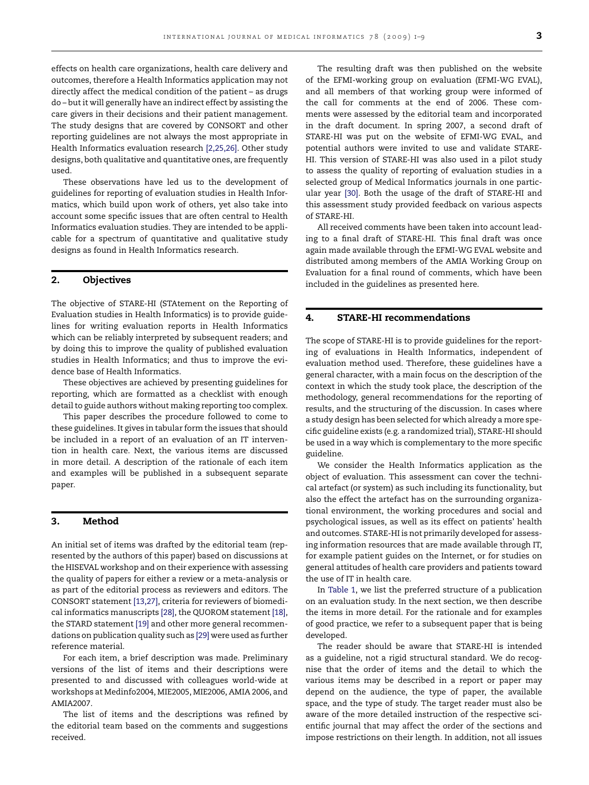effects on health care organizations, health care delivery and outcomes, therefore a Health Informatics application may not directly affect the medical condition of the patient – as drugs do – but it will generally have an indirect effect by assisting the care givers in their decisions and their patient management. The study designs that are covered by CONSORT and other reporting guidelines are not always the most appropriate in Health Informatics evaluation research [\[2,25,26\]. O](#page-7-0)ther study designs, both qualitative and quantitative ones, are frequently used.

These observations have led us to the development of guidelines for reporting of evaluation studies in Health Informatics, which build upon work of others, yet also take into account some specific issues that are often central to Health Informatics evaluation studies. They are intended to be applicable for a spectrum of quantitative and qualitative study designs as found in Health Informatics research.

#### **2. Objectives**

The objective of STARE-HI (STAtement on the Reporting of Evaluation studies in Health Informatics) is to provide guidelines for writing evaluation reports in Health Informatics which can be reliably interpreted by subsequent readers; and by doing this to improve the quality of published evaluation studies in Health Informatics; and thus to improve the evidence base of Health Informatics.

These objectives are achieved by presenting guidelines for reporting, which are formatted as a checklist with enough detail to guide authors without making reporting too complex.

This paper describes the procedure followed to come to these guidelines. It gives in tabular form the issues that should be included in a report of an evaluation of an IT intervention in health care. Next, the various items are discussed in more detail. A description of the rationale of each item and examples will be published in a subsequent separate paper.

#### **3. Method**

An initial set of items was drafted by the editorial team (represented by the authors of this paper) based on discussions at the HISEVAL workshop and on their experience with assessing the quality of papers for either a review or a meta-analysis or as part of the editorial process as reviewers and editors. The CONSORT statement [\[13,27\], c](#page-7-0)riteria for reviewers of biomedical informatics manuscripts [\[28\], t](#page-8-0)he QUOROM statement [\[18\],](#page-8-0) the STARD statement [\[19\]](#page-8-0) and other more general recommendations on publication quality such as [\[29\]](#page-8-0) were used as further reference material.

For each item, a brief description was made. Preliminary versions of the list of items and their descriptions were presented to and discussed with colleagues world-wide at workshops at Medinfo2004, MIE2005, MIE2006, AMIA 2006, and AMIA2007.

The list of items and the descriptions was refined by the editorial team based on the comments and suggestions received.

The resulting draft was then published on the website of the EFMI-working group on evaluation (EFMI-WG EVAL), and all members of that working group were informed of the call for comments at the end of 2006. These comments were assessed by the editorial team and incorporated in the draft document. In spring 2007, a second draft of STARE-HI was put on the website of EFMI-WG EVAL, and potential authors were invited to use and validate STARE-HI. This version of STARE-HI was also used in a pilot study to assess the quality of reporting of evaluation studies in a selected group of Medical Informatics journals in one particular year [\[30\].](#page-8-0) Both the usage of the draft of STARE-HI and this assessment study provided feedback on various aspects of STARE-HI.

All received comments have been taken into account leading to a final draft of STARE-HI. This final draft was once again made available through the EFMI-WG EVAL website and distributed among members of the AMIA Working Group on Evaluation for a final round of comments, which have been included in the guidelines as presented here.

#### **4. STARE-HI recommendations**

The scope of STARE-HI is to provide guidelines for the reporting of evaluations in Health Informatics, independent of evaluation method used. Therefore, these guidelines have a general character, with a main focus on the description of the context in which the study took place, the description of the methodology, general recommendations for the reporting of results, and the structuring of the discussion. In cases where a study design has been selected for which already a more specific guideline exists (e.g. a randomized trial), STARE-HI should be used in a way which is complementary to the more specific guideline.

We consider the Health Informatics application as the object of evaluation. This assessment can cover the technical artefact (or system) as such including its functionality, but also the effect the artefact has on the surrounding organizational environment, the working procedures and social and psychological issues, as well as its effect on patients' health and outcomes. STARE-HI is not primarily developed for assessing information resources that are made available through IT, for example patient guides on the Internet, or for studies on general attitudes of health care providers and patients toward the use of IT in health care.

In [Table 1,](#page-3-0) we list the preferred structure of a publication on an evaluation study. In the next section, we then describe the items in more detail. For the rationale and for examples of good practice, we refer to a subsequent paper that is being developed.

The reader should be aware that STARE-HI is intended as a guideline, not a rigid structural standard. We do recognise that the order of items and the detail to which the various items may be described in a report or paper may depend on the audience, the type of paper, the available space, and the type of study. The target reader must also be aware of the more detailed instruction of the respective scientific journal that may affect the order of the sections and impose restrictions on their length. In addition, not all issues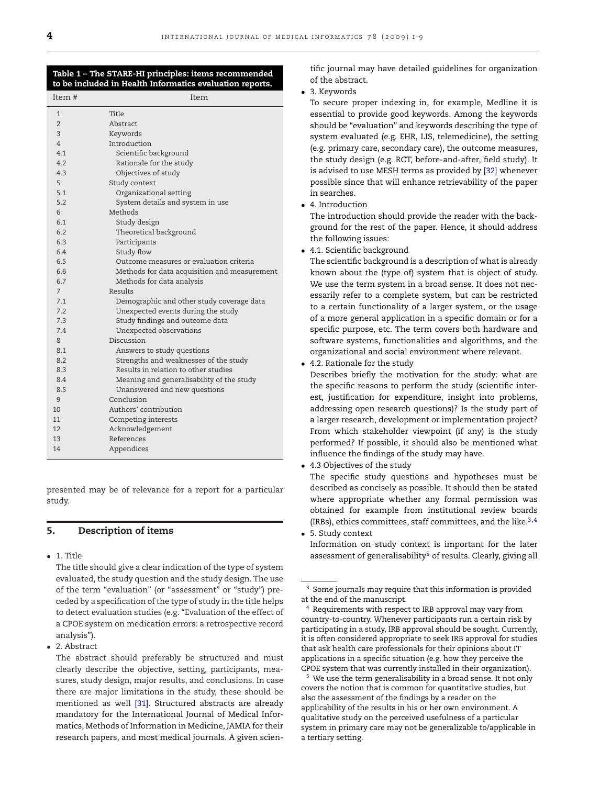#### <span id="page-3-0"></span>**Table 1 – The STARE-HI principles: items recommended to be included in Health Informatics evaluation reports.**

| Item #         | Item                                         |
|----------------|----------------------------------------------|
| 1              | Title                                        |
| $\mathfrak{D}$ | Abstract                                     |
| 3              | Keywords                                     |
| $\overline{4}$ | Introduction                                 |
| 41             | Scientific background                        |
| 4.2            | Rationale for the study                      |
| 43             | Objectives of study                          |
| 5              | Study context                                |
| 5.1            | Organizational setting                       |
| 5.2            | System details and system in use             |
| 6              | Methods                                      |
| 6.1            | Study design                                 |
| 6.2            | Theoretical background                       |
| 6.3            | Participants                                 |
| 6.4            | Study flow                                   |
| 6.5            | Outcome measures or evaluation criteria      |
| 6.6            | Methods for data acquisition and measurement |
| 6.7            | Methods for data analysis                    |
| $\overline{7}$ | Results                                      |
| 7.1            | Demographic and other study coverage data    |
| 7.2            | Unexpected events during the study           |
| 7.3            | Study findings and outcome data              |
| 7.4            | Unexpected observations                      |
| 8              | Discussion                                   |
| 8.1            | Answers to study questions                   |
| 8.2            | Strengths and weaknesses of the study        |
| 8.3            | Results in relation to other studies         |
| 8.4            | Meaning and generalisability of the study    |
| 8.5            | Unanswered and new questions                 |
| 9              | Conclusion                                   |
| 10             | Authors' contribution                        |
| 11             | Competing interests                          |
| 12             | Acknowledgement                              |
| 13             | References                                   |
| 14             | Appendices                                   |

presented may be of relevance for a report for a particular study.

#### **5. Description of items**

• 1. Title

The title should give a clear indication of the type of system evaluated, the study question and the study design. The use of the term "evaluation" (or "assessment" or "study") preceded by a specification of the type of study in the title helps to detect evaluation studies (e.g. "Evaluation of the effect of a CPOE system on medication errors: a retrospective record analysis").

• 2. Abstract

The abstract should preferably be structured and must clearly describe the objective, setting, participants, measures, study design, major results, and conclusions. In case there are major limitations in the study, these should be mentioned as well [\[31\].](#page-8-0) Structured abstracts are already mandatory for the International Journal of Medical Informatics, Methods of Information in Medicine, JAMIA for their research papers, and most medical journals. A given scientific journal may have detailed guidelines for organization of the abstract.

• 3. Keywords

To secure proper indexing in, for example, Medline it is essential to provide good keywords. Among the keywords should be "evaluation" and keywords describing the type of system evaluated (e.g. EHR, LIS, telemedicine), the setting (e.g. primary care, secondary care), the outcome measures, the study design (e.g. RCT, before-and-after, field study). It is advised to use MESH terms as provided by [\[32\]](#page-8-0) whenever possible since that will enhance retrievability of the paper in searches.

• 4. Introduction

The introduction should provide the reader with the background for the rest of the paper. Hence, it should address the following issues:

• 4.1. Scientific background

The scientific background is a description of what is already known about the (type of) system that is object of study. We use the term system in a broad sense. It does not necessarily refer to a complete system, but can be restricted to a certain functionality of a larger system, or the usage of a more general application in a specific domain or for a specific purpose, etc. The term covers both hardware and software systems, functionalities and algorithms, and the organizational and social environment where relevant.

• 4.2. Rationale for the study

Describes briefly the motivation for the study: what are the specific reasons to perform the study (scientific interest, justification for expenditure, insight into problems, addressing open research questions)? Is the study part of a larger research, development or implementation project? From which stakeholder viewpoint (if any) is the study performed? If possible, it should also be mentioned what influence the findings of the study may have.

• 4.3 Objectives of the study

The specific study questions and hypotheses must be described as concisely as possible. It should then be stated where appropriate whether any formal permission was obtained for example from institutional review boards (IRBs), ethics committees, staff committees, and the like. $3,4$ • 5. Study context

Information on study context is important for the later assessment of generalisability<sup>5</sup> of results. Clearly, giving all

<sup>&</sup>lt;sup>3</sup> Some journals may require that this information is provided at the end of the manuscript.

Requirements with respect to IRB approval may vary from country-to-country. Whenever participants run a certain risk by participating in a study, IRB approval should be sought. Currently, it is often considered appropriate to seek IRB approval for studies that ask health care professionals for their opinions about IT applications in a specific situation (e.g. how they perceive the CPOE system that was currently installed in their organization).

We use the term generalisability in a broad sense. It not only covers the notion that is common for quantitative studies, but also the assessment of the findings by a reader on the applicability of the results in his or her own environment. A qualitative study on the perceived usefulness of a particular system in primary care may not be generalizable to/applicable in a tertiary setting.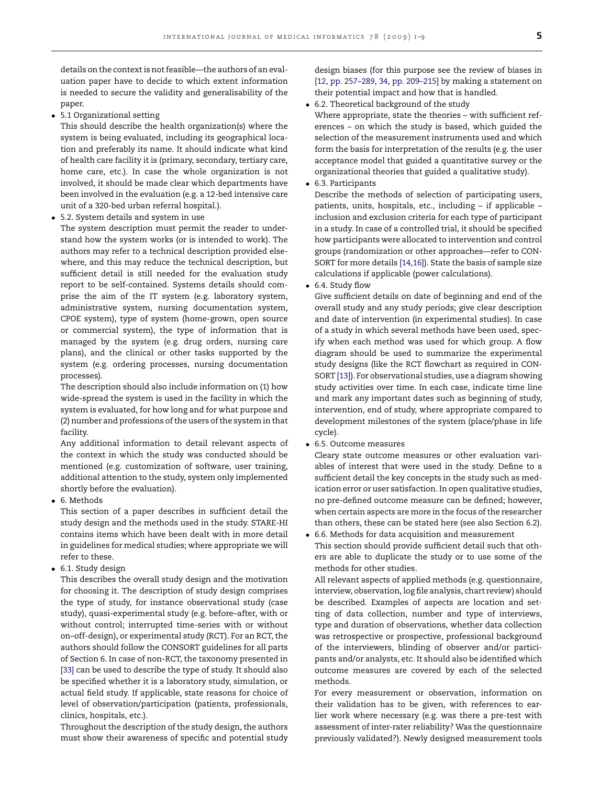details on the context is not feasible—the authors of an evaluation paper have to decide to which extent information is needed to secure the validity and generalisability of the paper.

• 5.1 Organizational setting

This should describe the health organization(s) where the system is being evaluated, including its geographical location and preferably its name. It should indicate what kind of health care facility it is (primary, secondary, tertiary care, home care, etc.). In case the whole organization is not involved, it should be made clear which departments have been involved in the evaluation (e.g. a 12-bed intensive care unit of a 320-bed urban referral hospital.).

• 5.2. System details and system in use

The system description must permit the reader to understand how the system works (or is intended to work). The authors may refer to a technical description provided elsewhere, and this may reduce the technical description, but sufficient detail is still needed for the evaluation study report to be self-contained. Systems details should comprise the aim of the IT system (e.g. laboratory system, administrative system, nursing documentation system, CPOE system), type of system (home-grown, open source or commercial system), the type of information that is managed by the system (e.g. drug orders, nursing care plans), and the clinical or other tasks supported by the system (e.g. ordering processes, nursing documentation processes).

The description should also include information on (1) how wide-spread the system is used in the facility in which the system is evaluated, for how long and for what purpose and (2) number and professions of the users of the system in that facility.

Any additional information to detail relevant aspects of the context in which the study was conducted should be mentioned (e.g. customization of software, user training, additional attention to the study, system only implemented shortly before the evaluation).

• 6. Methods

This section of a paper describes in sufficient detail the study design and the methods used in the study. STARE-HI contains items which have been dealt with in more detail in guidelines for medical studies; where appropriate we will refer to these.

• 6.1. Study design

This describes the overall study design and the motivation for choosing it. The description of study design comprises the type of study, for instance observational study (case study), quasi-experimental study (e.g. before–after, with or without control; interrupted time-series with or without on–off-design), or experimental study (RCT). For an RCT, the authors should follow the CONSORT guidelines for all parts of Section 6. In case of non-RCT, the taxonomy presented in [\[33\]](#page-8-0) can be used to describe the type of study. It should also be specified whether it is a laboratory study, simulation, or actual field study. If applicable, state reasons for choice of level of observation/participation (patients, professionals, clinics, hospitals, etc.).

Throughout the description of the study design, the authors must show their awareness of specific and potential study design biases (for this purpose see the review of biases in [\[12, pp. 257–289, 34, pp. 209–215\]](#page-7-0) by making a statement on their potential impact and how that is handled.

- 6.2. Theoretical background of the study Where appropriate, state the theories – with sufficient references – on which the study is based, which guided the selection of the measurement instruments used and which form the basis for interpretation of the results (e.g. the user acceptance model that guided a quantitative survey or the organizational theories that guided a qualitative study).
- 6.3. Participants

Describe the methods of selection of participating users, patients, units, hospitals, etc., including – if applicable – inclusion and exclusion criteria for each type of participant in a study. In case of a controlled trial, it should be specified how participants were allocated to intervention and control groups (randomization or other approaches—refer to CON-SORT for more details [\[14,16\]\).](#page-8-0) State the basis of sample size calculations if applicable (power calculations).

• 6.4. Study flow

Give sufficient details on date of beginning and end of the overall study and any study periods; give clear description and date of intervention (in experimental studies). In case of a study in which several methods have been used, specify when each method was used for which group. A flow diagram should be used to summarize the experimental study designs (like the RCT flowchart as required in CON-SORT [\[13\]\).](#page-7-0) For observational studies, use a diagram showing study activities over time. In each case, indicate time line and mark any important dates such as beginning of study, intervention, end of study, where appropriate compared to development milestones of the system (place/phase in life cycle).

• 6.5. Outcome measures

Cleary state outcome measures or other evaluation variables of interest that were used in the study. Define to a sufficient detail the key concepts in the study such as medication error or user satisfaction. In open qualitative studies, no pre-defined outcome measure can be defined; however, when certain aspects are more in the focus of the researcher than others, these can be stated here (see also Section 6.2).

• 6.6. Methods for data acquisition and measurement This section should provide sufficient detail such that others are able to duplicate the study or to use some of the methods for other studies.

All relevant aspects of applied methods (e.g. questionnaire, interview, observation, log file analysis, chart review) should be described. Examples of aspects are location and setting of data collection, number and type of interviews, type and duration of observations, whether data collection was retrospective or prospective, professional background of the interviewers, blinding of observer and/or participants and/or analysts, etc. It should also be identified which outcome measures are covered by each of the selected methods.

For every measurement or observation, information on their validation has to be given, with references to earlier work where necessary (e.g. was there a pre-test with assessment of inter-rater reliability? Was the questionnaire previously validated?). Newly designed measurement tools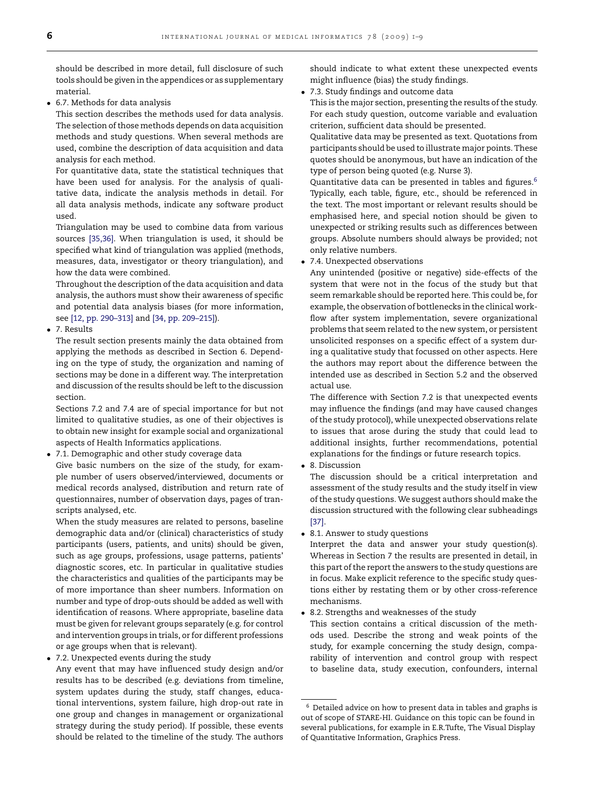should be described in more detail, full disclosure of such tools should be given in the appendices or as supplementary material.

• 6.7. Methods for data analysis

This section describes the methods used for data analysis. The selection of those methods depends on data acquisition methods and study questions. When several methods are used, combine the description of data acquisition and data analysis for each method.

For quantitative data, state the statistical techniques that have been used for analysis. For the analysis of qualitative data, indicate the analysis methods in detail. For all data analysis methods, indicate any software product used.

Triangulation may be used to combine data from various sources [\[35,36\].](#page-8-0) When triangulation is used, it should be specified what kind of triangulation was applied (methods, measures, data, investigator or theory triangulation), and how the data were combined.

Throughout the description of the data acquisition and data analysis, the authors must show their awareness of specific and potential data analysis biases (for more information, see [\[12, pp. 290–313\]](#page-7-0) and [\[34, pp. 209–215\]\).](#page-8-0)

• 7. Results

The result section presents mainly the data obtained from applying the methods as described in Section 6. Depending on the type of study, the organization and naming of sections may be done in a different way. The interpretation and discussion of the results should be left to the discussion section.

Sections 7.2 and 7.4 are of special importance for but not limited to qualitative studies, as one of their objectives is to obtain new insight for example social and organizational aspects of Health Informatics applications.

• 7.1. Demographic and other study coverage data Give basic numbers on the size of the study, for example number of users observed/interviewed, documents or medical records analysed, distribution and return rate of questionnaires, number of observation days, pages of transcripts analysed, etc.

When the study measures are related to persons, baseline demographic data and/or (clinical) characteristics of study participants (users, patients, and units) should be given, such as age groups, professions, usage patterns, patients' diagnostic scores, etc. In particular in qualitative studies the characteristics and qualities of the participants may be of more importance than sheer numbers. Information on number and type of drop-outs should be added as well with identification of reasons. Where appropriate, baseline data must be given for relevant groups separately (e.g. for control and intervention groups in trials, or for different professions or age groups when that is relevant).

• 7.2. Unexpected events during the study

Any event that may have influenced study design and/or results has to be described (e.g. deviations from timeline, system updates during the study, staff changes, educational interventions, system failure, high drop-out rate in one group and changes in management or organizational strategy during the study period). If possible, these events should be related to the timeline of the study. The authors

should indicate to what extent these unexpected events might influence (bias) the study findings.

• 7.3. Study findings and outcome data

This is the major section, presenting the results of the study. For each study question, outcome variable and evaluation criterion, sufficient data should be presented.

Qualitative data may be presented as text. Quotations from participants should be used to illustrate major points. These quotes should be anonymous, but have an indication of the type of person being quoted (e.g. Nurse 3).

Quantitative data can be presented in tables and figures.<sup>6</sup> Typically, each table, figure, etc., should be referenced in the text. The most important or relevant results should be emphasised here, and special notion should be given to unexpected or striking results such as differences between groups. Absolute numbers should always be provided; not only relative numbers.

• 7.4. Unexpected observations

Any unintended (positive or negative) side-effects of the system that were not in the focus of the study but that seem remarkable should be reported here. This could be, for example, the observation of bottlenecks in the clinical workflow after system implementation, severe organizational problems that seem related to the new system, or persistent unsolicited responses on a specific effect of a system during a qualitative study that focussed on other aspects. Here the authors may report about the difference between the intended use as described in Section 5.2 and the observed actual use.

The difference with Section 7.2 is that unexpected events may influence the findings (and may have caused changes of the study protocol), while unexpected observations relate to issues that arose during the study that could lead to additional insights, further recommendations, potential explanations for the findings or future research topics.

• 8. Discussion

The discussion should be a critical interpretation and assessment of the study results and the study itself in view of the study questions. We suggest authors should make the discussion structured with the following clear subheadings [\[37\].](#page-8-0)

• 8.1. Answer to study questions

Interpret the data and answer your study question(s). Whereas in Section 7 the results are presented in detail, in this part of the report the answers to the study questions are in focus. Make explicit reference to the specific study questions either by restating them or by other cross-reference mechanisms.

• 8.2. Strengths and weaknesses of the study

This section contains a critical discussion of the methods used. Describe the strong and weak points of the study, for example concerning the study design, comparability of intervention and control group with respect to baseline data, study execution, confounders, internal

 $6$  Detailed advice on how to present data in tables and graphs is out of scope of STARE-HI. Guidance on this topic can be found in several publications, for example in E.R.Tufte, The Visual Display of Quantitative Information, Graphics Press.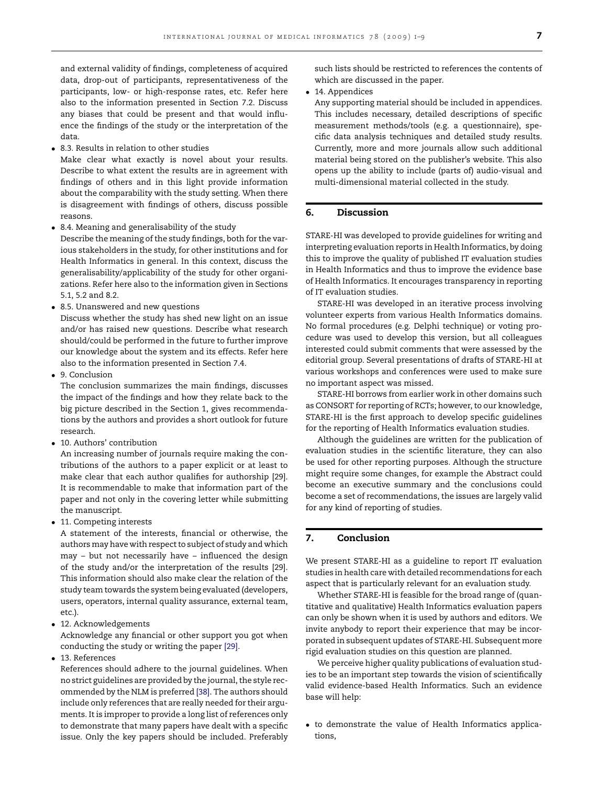and external validity of findings, completeness of acquired data, drop-out of participants, representativeness of the participants, low- or high-response rates, etc. Refer here also to the information presented in Section 7.2. Discuss any biases that could be present and that would influence the findings of the study or the interpretation of the data.

• 8.3. Results in relation to other studies

Make clear what exactly is novel about your results. Describe to what extent the results are in agreement with findings of others and in this light provide information about the comparability with the study setting. When there is disagreement with findings of others, discuss possible reasons.

- 8.4. Meaning and generalisability of the study Describe the meaning of the study findings, both for the various stakeholders in the study, for other institutions and for Health Informatics in general. In this context, discuss the generalisability/applicability of the study for other organizations. Refer here also to the information given in Sections 5.1, 5.2 and 8.2.
- 8.5. Unanswered and new questions

Discuss whether the study has shed new light on an issue and/or has raised new questions. Describe what research should/could be performed in the future to further improve our knowledge about the system and its effects. Refer here also to the information presented in Section 7.4.

• 9. Conclusion

The conclusion summarizes the main findings, discusses the impact of the findings and how they relate back to the big picture described in the Section 1, gives recommendations by the authors and provides a short outlook for future research.

• 10. Authors' contribution

An increasing number of journals require making the contributions of the authors to a paper explicit or at least to make clear that each author qualifies for authorship [29]. It is recommendable to make that information part of the paper and not only in the covering letter while submitting the manuscript.

• 11. Competing interests

A statement of the interests, financial or otherwise, the authors may have with respect to subject of study and which may – but not necessarily have – influenced the design of the study and/or the interpretation of the results [29]. This information should also make clear the relation of the study team towards the system being evaluated (developers, users, operators, internal quality assurance, external team, etc.).

• 12. Acknowledgements

Acknowledge any financial or other support you got when conducting the study or writing the paper [\[29\].](#page-8-0)

• 13. References

References should adhere to the journal guidelines. When no strict guidelines are provided by the journal, the style recommended by the NLM is preferred [\[38\]. T](#page-8-0)he authors should include only references that are really needed for their arguments. It is improper to provide a long list of references only to demonstrate that many papers have dealt with a specific issue. Only the key papers should be included. Preferably

such lists should be restricted to references the contents of which are discussed in the paper.

• 14. Appendices

Any supporting material should be included in appendices. This includes necessary, detailed descriptions of specific measurement methods/tools (e.g. a questionnaire), specific data analysis techniques and detailed study results. Currently, more and more journals allow such additional material being stored on the publisher's website. This also opens up the ability to include (parts of) audio-visual and multi-dimensional material collected in the study.

### **6. Discussion**

STARE-HI was developed to provide guidelines for writing and interpreting evaluation reports in Health Informatics, by doing this to improve the quality of published IT evaluation studies in Health Informatics and thus to improve the evidence base of Health Informatics. It encourages transparency in reporting of IT evaluation studies.

STARE-HI was developed in an iterative process involving volunteer experts from various Health Informatics domains. No formal procedures (e.g. Delphi technique) or voting procedure was used to develop this version, but all colleagues interested could submit comments that were assessed by the editorial group. Several presentations of drafts of STARE-HI at various workshops and conferences were used to make sure no important aspect was missed.

STARE-HI borrows from earlier work in other domains such as CONSORT for reporting of RCTs; however, to our knowledge, STARE-HI is the first approach to develop specific guidelines for the reporting of Health Informatics evaluation studies.

Although the guidelines are written for the publication of evaluation studies in the scientific literature, they can also be used for other reporting purposes. Although the structure might require some changes, for example the Abstract could become an executive summary and the conclusions could become a set of recommendations, the issues are largely valid for any kind of reporting of studies.

# **7. Conclusion**

We present STARE-HI as a guideline to report IT evaluation studies in health care with detailed recommendations for each aspect that is particularly relevant for an evaluation study.

Whether STARE-HI is feasible for the broad range of (quantitative and qualitative) Health Informatics evaluation papers can only be shown when it is used by authors and editors. We invite anybody to report their experience that may be incorporated in subsequent updates of STARE-HI. Subsequent more rigid evaluation studies on this question are planned.

We perceive higher quality publications of evaluation studies to be an important step towards the vision of scientifically valid evidence-based Health Informatics. Such an evidence base will help:

• to demonstrate the value of Health Informatics applications,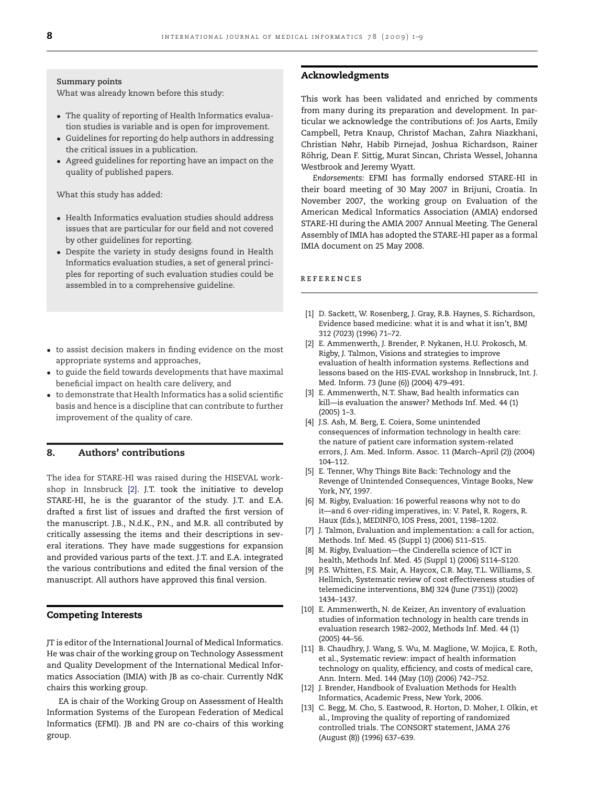<span id="page-7-0"></span>What was already known before this study:

- The quality of reporting of Health Informatics evaluation studies is variable and is open for improvement.
- Guidelines for reporting do help authors in addressing the critical issues in a publication.
- Agreed guidelines for reporting have an impact on the quality of published papers.

What this study has added:

- Health Informatics evaluation studies should address issues that are particular for our field and not covered by other guidelines for reporting.
- Despite the variety in study designs found in Health Informatics evaluation studies, a set of general principles for reporting of such evaluation studies could be assembled in to a comprehensive guideline.
- to assist decision makers in finding evidence on the most appropriate systems and approaches,
- to guide the field towards developments that have maximal beneficial impact on health care delivery, and
- to demonstrate that Health Informatics has a solid scientific basis and hence is a discipline that can contribute to further improvement of the quality of care.

# **8. Authors' contributions**

The idea for STARE-HI was raised during the HISEVAL workshop in Innsbruck [2]. J.T. took the initiative to develop STARE-HI, he is the guarantor of the study. J.T. and E.A. drafted a first list of issues and drafted the first version of the manuscript. J.B., N.d.K., P.N., and M.R. all contributed by critically assessing the items and their descriptions in several iterations. They have made suggestions for expansion and provided various parts of the text. J.T. and E.A. integrated the various contributions and edited the final version of the manuscript. All authors have approved this final version.

#### **Competing Interests**

JT is editor of the International Journal of Medical Informatics. He was chair of the working group on Technology Assessment and Quality Development of the International Medical Informatics Association (IMIA) with JB as co-chair. Currently NdK chairs this working group.

EA is chair of the Working Group on Assessment of Health Information Systems of the European Federation of Medical Informatics (EFMI). JB and PN are co-chairs of this working group.

#### **Acknowledgments**

This work has been validated and enriched by comments from many during its preparation and development. In particular we acknowledge the contributions of: Jos Aarts, Emily Campbell, Petra Knaup, Christof Machan, Zahra Niazkhani, Christian Nøhr, Habib Pirnejad, Joshua Richardson, Rainer Röhrig, Dean F. Sittig, Murat Sincan, Christa Wessel, Johanna Westbrook and Jeremy Wyatt.

*Endorsements*: EFMI has formally endorsed STARE-HI in their board meeting of 30 May 2007 in Brijuni, Croatia. In November 2007, the working group on Evaluation of the American Medical Informatics Association (AMIA) endorsed STARE-HI during the AMIA 2007 Annual Meeting. The General Assembly of IMIA has adopted the STARE-HI paper as a formal IMIA document on 25 May 2008.

#### references

- [1] D. Sackett, W. Rosenberg, J. Gray, R.B. Haynes, S. Richardson, Evidence based medicine: what it is and what it isn't, BMJ 312 (7023) (1996) 71–72.
- [2] E. Ammenwerth, J. Brender, P. Nykanen, H.U. Prokosch, M. Rigby, J. Talmon, Visions and strategies to improve evaluation of health information systems. Reflections and lessons based on the HIS-EVAL workshop in Innsbruck, Int. J. Med. Inform. 73 (June (6)) (2004) 479–491.
- [3] E. Ammenwerth, N.T. Shaw, Bad health informatics can kill—is evaluation the answer? Methods Inf. Med. 44 (1) (2005) 1–3.
- [4] J.S. Ash, M. Berg, E. Coiera, Some unintended consequences of information technology in health care: the nature of patient care information system-related errors, J. Am. Med. Inform. Assoc. 11 (March–April (2)) (2004) 104–112.
- [5] E. Tenner, Why Things Bite Back: Technology and the Revenge of Unintended Consequences, Vintage Books, New York, NY, 1997.
- [6] M. Rigby, Evaluation: 16 powerful reasons why not to do it—and 6 over-riding imperatives, in: V. Patel, R. Rogers, R. Haux (Eds.), MEDINFO, IOS Press, 2001, 1198–1202.
- [7] J. Talmon, Evaluation and implementation: a call for action, Methods. Inf. Med. 45 (Suppl 1) (2006) S11–S15.
- [8] M. Rigby, Evaluation—the Cinderella science of ICT in health, Methods Inf. Med. 45 (Suppl 1) (2006) S114–S120.
- [9] P.S. Whitten, F.S. Mair, A. Haycox, C.R. May, T.L. Williams, S. Hellmich, Systematic review of cost effectiveness studies of telemedicine interventions, BMJ 324 (June (7351)) (2002) 1434–1437.
- [10] E. Ammenwerth, N. de Keizer, An inventory of evaluation studies of information technology in health care trends in evaluation research 1982–2002, Methods Inf. Med. 44 (1) (2005) 44–56.
- [11] B. Chaudhry, J. Wang, S. Wu, M. Maglione, W. Mojica, E. Roth, et al., Systematic review: impact of health information technology on quality, efficiency, and costs of medical care, Ann. Intern. Med. 144 (May (10)) (2006) 742–752.
- [12] J. Brender, Handbook of Evaluation Methods for Health Informatics, Academic Press, New York, 2006.
- [13] C. Begg, M. Cho, S. Eastwood, R. Horton, D. Moher, I. Olkin, et al., Improving the quality of reporting of randomized controlled trials. The CONSORT statement, JAMA 276 (August (8)) (1996) 637–639.